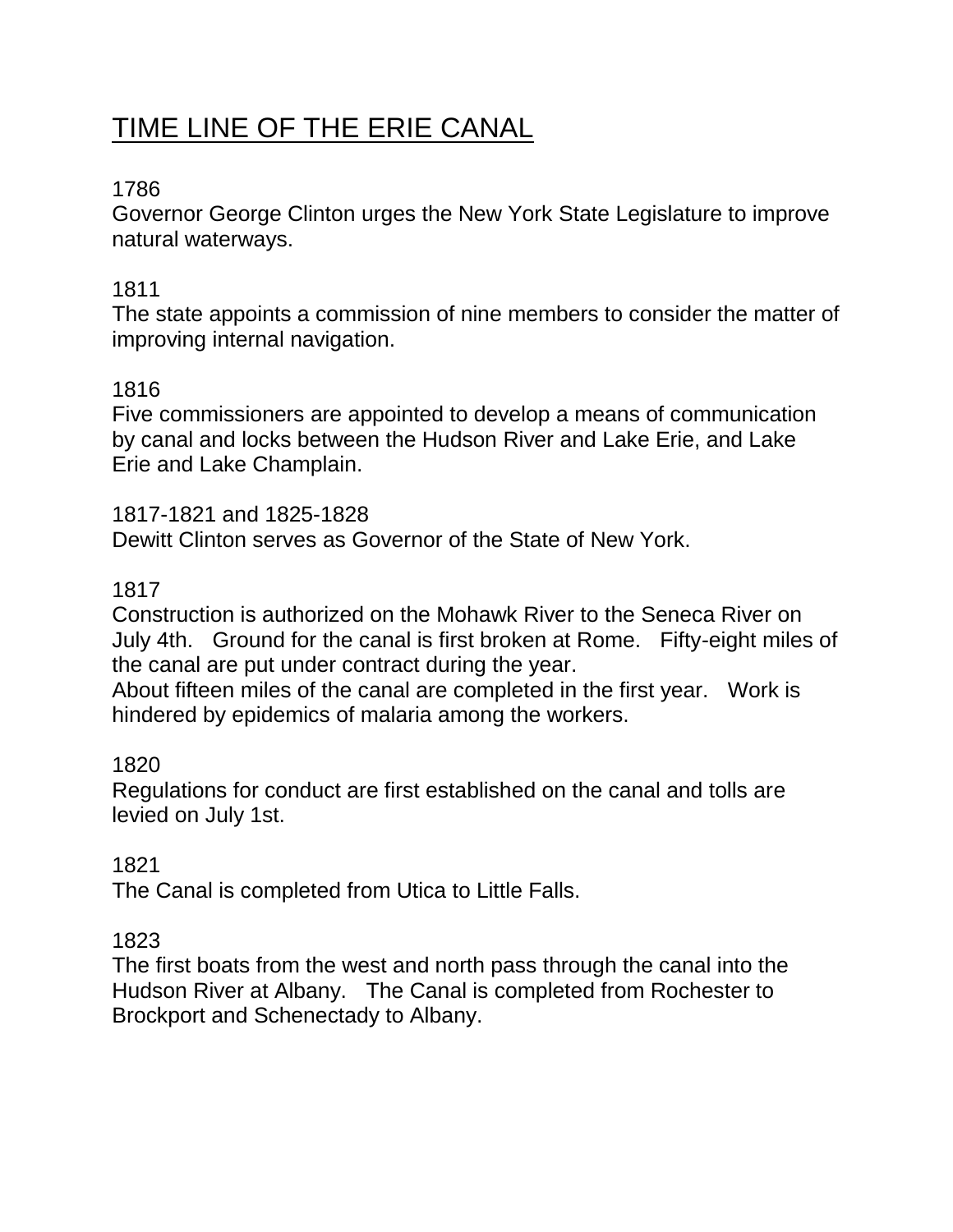# TIME LINE OF THE ERIE CANAL

# 1786

Governor George Clinton urges the New York State Legislature to improve natural waterways.

# 1811

The state appoints a commission of nine members to consider the matter of improving internal navigation.

# 1816

Five commissioners are appointed to develop a means of communication by canal and locks between the Hudson River and Lake Erie, and Lake Erie and Lake Champlain.

1817-1821 and 1825-1828 Dewitt Clinton serves as Governor of the State of New York.

# 1817

Construction is authorized on the Mohawk River to the Seneca River on July 4th. Ground for the canal is first broken at Rome. Fifty-eight miles of the canal are put under contract during the year.

About fifteen miles of the canal are completed in the first year. Work is hindered by epidemics of malaria among the workers.

# 1820

Regulations for conduct are first established on the canal and tolls are levied on July 1st.

# 1821

The Canal is completed from Utica to Little Falls.

# 1823

The first boats from the west and north pass through the canal into the Hudson River at Albany. The Canal is completed from Rochester to Brockport and Schenectady to Albany.